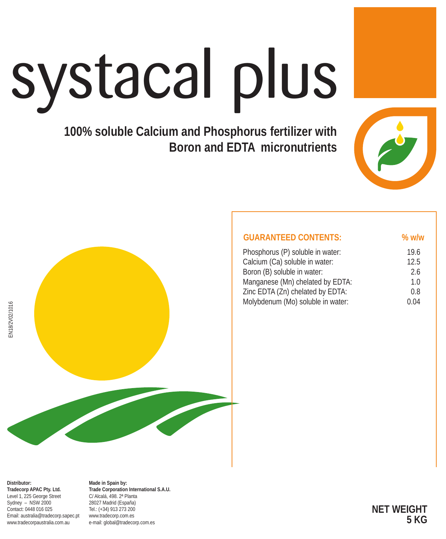# systacal plus

### **100% soluble Calcium and Phosphorus fertilizer with Boron and EDTA micronutrients**





| <b>GUARANTEED CONTENTS:</b>       | $%$ w/w        |
|-----------------------------------|----------------|
| Phosphorus (P) soluble in water:  | 19.6           |
| Calcium (Ca) soluble in water:    | 12.5           |
| Boron (B) soluble in water:       | 26             |
| Manganese (Mn) chelated by EDTA:  | 1 <sub>0</sub> |
| Zinc EDTA (Zn) chelated by EDTA:  | 0.8            |
| Molybdenum (Mo) soluble in water: | 0.04           |

**Distributor: Tradecorp APAC Pty. Ltd.** Level 1, 225 George Street Sydney – NSW 2000 Contact: 0448 016 025 Email: australia@tradecorp.sapec.pt www.tradecorpaustralia.com.au

**Made in Spain by: Trade Corporation International S.A.U.** C/ Alcalá, 498. 2ª Planta 28027 Madrid (España) Tel.: (+34) 913 273 200 www.tradecorp.com.es e-mail: global@tradecorp.com.es

**NET WEIGHT 5 KG**